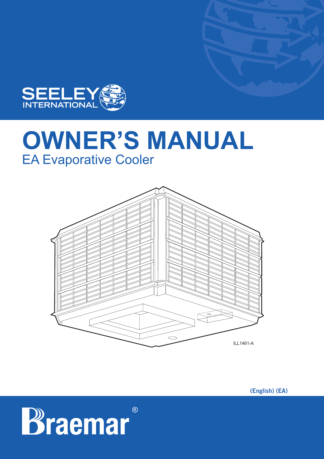

# **OWNER'S MANUAL** EA Evaporative Cooler



**(English) (EA)**

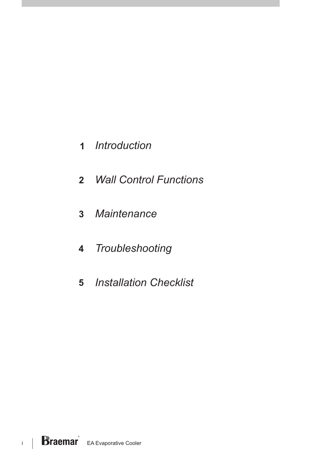- *Introduction*
- *Wall Control Functions*
- *Maintenance*
- *Troubleshooting*
- *Installation Checklist*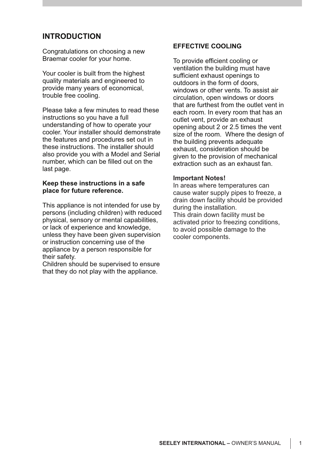## **INTRODUCTION**

Congratulations on choosing a new Braemar cooler for your home.

Your cooler is built from the highest quality materials and engineered to provide many years of economical, trouble free cooling.

Please take a few minutes to read these instructions so you have a full understanding of how to operate your cooler. Your installer should demonstrate the features and procedures set out in these instructions. The installer should also provide you with a Model and Serial number, which can be filled out on the last page.

#### **Keep these instructions in a safe place for future reference.**

This appliance is not intended for use by persons (including children) with reduced physical, sensory or mental capabilities, or lack of experience and knowledge, unless they have been given supervision or instruction concerning use of the appliance by a person responsible for their safety.

Children should be supervised to ensure that they do not play with the appliance.

#### **EFFECTIVE COOLING**

To provide efficient cooling or ventilation the building must have sufficient exhaust openings to outdoors in the form of doors, windows or other vents. To assist air circulation, open windows or doors that are furthest from the outlet vent in each room. In every room that has an outlet vent, provide an exhaust opening about 2 or 2.5 times the vent size of the room. Where the design of the building prevents adequate exhaust, consideration should be given to the provision of mechanical extraction such as an exhaust fan.

#### **Important Notes!**

In areas where temperatures can cause water supply pipes to freeze, a drain down facility should be provided during the installation. This drain down facility must be activated prior to freezing conditions, to avoid possible damage to the cooler components.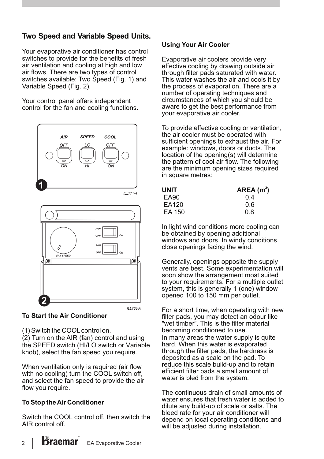# **Two Speed and Variable Speed Units.**

Your evaporative air conditioner has control switches to provide for the benefits of fresh air ventilation and cooling at high and low air flows. There are two types of control switches available: Two Speed (Fig. 1) and Variable Speed (Fig. 2).

Your control panel offers independent control for the fan and cooling functions.



### **To Start the Air Conditioner**

(1) Switch the COOLcontrol on.

(2) Turn on the AIR (fan) control and using the SPEED switch (HI/LO switch or Variable knob), select the fan speed you require.

When ventilation only is required (air flow with no cooling) turn the COOL switch off, and select the fan speed to provide the air flow you require.

### **To Stop theAir Conditioner**

Switch the COOL control off, then switch the AIR control off.

## **Using Your Air Cooler**

Evaporative air coolers provide very effective cooling by drawing outside air through filter pads saturated with water. This water washes the air and cools it by the process of evaporation. There are a number of operating techniques and circumstances of which you should be aware to get the best performance from your evaporative air cooler.

To provide effective cooling or ventilation, the air cooler must be operated with sufficient openings to exhaust the air. For example: windows, doors or ducts. The location of the opening(s) will determine the pattern of cool air flow. The following are the minimum opening sizes required in square metres:

| <b>UNIT</b> | AREA(m <sup>2</sup> ) |
|-------------|-----------------------|
| EA90        | 0.4                   |
| EA120       | 0.6                   |
| EA 150      | 0.8                   |

In light wind conditions more cooling can be obtained by opening additional windows and doors. In windy conditions close openings facing the wind.

Generally, openings opposite the supply vents are best. Some experimentation will soon show the arrangement most suited to your requirements. For a multiple outlet system, this is generally 1 (one) window opened 100 to 150 mm per outlet.

For a short time, when operating with new filter pads, you may detect an odour like "wet timber". This is the filter material becoming conditioned to use. In many areas the water supply is quite hard. When this water is evaporated through the filter pads, the hardness is deposited as a scale on the pad. To reduce this scale build-up and to retain efficient filter pads a small amount of water is bled from the system.

The continuous drain of small amounts of water ensures that fresh water is added to dilute any build-up of scale or salts. The bleed rate for your air conditioner will depend on local operating conditions and will be adjusted during installation.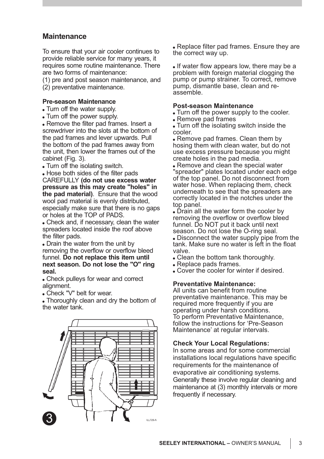## **Maintenance**

To ensure that your air cooler continues to provide reliable service for many years, it requires some routine maintenance. There are two forms of maintenance:

(1) pre and post season maintenance, and (2) preventative maintenance.

#### **Pre-season Maintenance**

. Turn off the water supply.

Turn off the power supply. !

. Remove the filter pad frames. Insert a screwdriver into the slots at the bottom of the pad frames and lever upwards. Pull the bottom of the pad frames away from the unit, then lower the frames out of the cabinet (Fig. 3).

Turn off the isolating switch. !

. Hose both sides of the filter pads CAREFULLY **(do not use excess water the pad material)**. Ensure that the wood wool pad material is evenly distributed, especially make sure that there is no gaps or holes at the TOP of PADS. **pressure as this may create "holes" in**

! Check and, if necessary, clean the water spreaders located inside the roof above the filter pads.

funnel. Do not replace this item until **next season. Do not lose the "O" ring seal.** ! Drain the water from the unit by removing the overflow or overflow bleed

! Check pulleys for wear and correct alignment.

! Check "V" belt for wear.

. Thoroughly clean and dry the bottom of the water tank.



! Replace filter pad frames. Ensure they are the correct way up.

. If water flow appears low, there may be a problem with foreign material clogging the pump or pump strainer. To correct, remove pump, dismantle base, clean and reassemble.

#### **Post-season Maintenance**

. Turn off the power supply to the cooler.

! Remove pad frames

. Turn off the isolating switch inside the cooler.

. Remove pad frames. Clean them by hosing them with clean water, but do not use excess pressure because you might create holes in the pad media.

. Remove and clean the special water "spreader" plates located under each edge of the top panel. Do not disconnect from water hose. When replacing them, check underneath to see that the spreaders are correctly located in the notches under the top panel.

• Drain all the water form the cooler by . Disconnect the water supply pipe from the removing the overflow or overflow bleed funnel. Do NOT put it back until next season. Do not lose the O-ring seal. tank. Make sure no water is left in the float valve.

- . Clean the bottom tank thoroughly.
- . Replace pads frames.
- . Cover the cooler for winter if desired.

### **Preventative Maintenance:**

All units can benefit from routine preventative maintenance. This may be required more frequently if you are operating under harsh conditions. To perform Preventative Maintenance, follow the instructions for 'Pre-Season Maintenance' at regular intervals.

## **Check Your Local Regulations:**

In some areas and for some commercial installations local regulations have specific requirements for the maintenance of evaporative air conditioning systems. Generally these involve regular cleaning and maintenance at (3) monthly intervals or more frequently if necessary.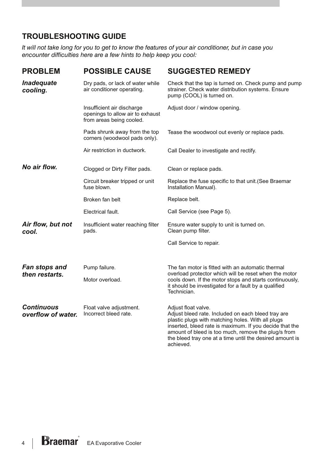# **TROUBLESHOOTING GUIDE**

*It will not take long for you to get to know the features of your air conditioner, but in case you encounter difficulties here are a few hints to help keep you cool:*

| <b>PROBLEM</b>                          | <b>POSSIBLE CAUSE</b>                                                                      | <b>SUGGESTED REMEDY</b>                                                                                                                                                                                                                                                                                      |
|-----------------------------------------|--------------------------------------------------------------------------------------------|--------------------------------------------------------------------------------------------------------------------------------------------------------------------------------------------------------------------------------------------------------------------------------------------------------------|
| Inadequate<br>cooling.                  | Dry pads, or lack of water while<br>air conditioner operating.                             | Check that the tap is turned on. Check pump and pump<br>strainer. Check water distribution systems. Ensure<br>pump (COOL) is turned on.                                                                                                                                                                      |
|                                         | Insufficient air discharge<br>openings to allow air to exhaust<br>from areas being cooled. | Adjust door / window opening.                                                                                                                                                                                                                                                                                |
|                                         | Pads shrunk away from the top<br>corners (woodwool pads only).                             | Tease the woodwool out evenly or replace pads.                                                                                                                                                                                                                                                               |
|                                         | Air restriction in ductwork.                                                               | Call Dealer to investigate and rectify.                                                                                                                                                                                                                                                                      |
| No air flow.                            | Clogged or Dirty Filter pads.                                                              | Clean or replace pads.                                                                                                                                                                                                                                                                                       |
|                                         | Circuit breaker tripped or unit<br>fuse blown.                                             | Replace the fuse specific to that unit. (See Braemar<br>Installation Manual).                                                                                                                                                                                                                                |
|                                         | Broken fan belt                                                                            | Replace belt.                                                                                                                                                                                                                                                                                                |
|                                         | Electrical fault.                                                                          | Call Service (see Page 5).                                                                                                                                                                                                                                                                                   |
| Air flow, but not<br>pads.<br>cool.     | Insufficient water reaching filter                                                         | Ensure water supply to unit is turned on.<br>Clean pump filter.                                                                                                                                                                                                                                              |
|                                         |                                                                                            | Call Service to repair.                                                                                                                                                                                                                                                                                      |
| <b>Fan stops and</b><br>then restarts.  | Pump failure.<br>Motor overload.                                                           | The fan motor is fitted with an automatic thermal<br>overload protector which will be reset when the motor<br>cools down. If the motor stops and starts continuously,<br>it should be investigated for a fault by a qualified<br>Technician.                                                                 |
| <b>Continuous</b><br>overflow of water. | Float valve adjustment.<br>Incorrect bleed rate.                                           | Adjust float valve.<br>Adjust bleed rate. Included on each bleed tray are<br>plastic plugs with matching holes. With all plugs<br>inserted, bleed rate is maximum. If you decide that the<br>amount of bleed is too much, remove the plug/s from<br>the bleed tray one at a time until the desired amount is |

achieved.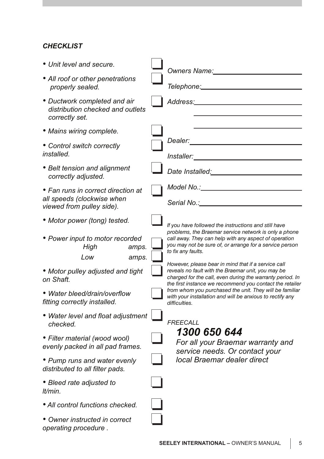# *CHECKLIST*

| • Unit level and secure.                                                                      | Owners Name:                                                                                                                                                                                    |
|-----------------------------------------------------------------------------------------------|-------------------------------------------------------------------------------------------------------------------------------------------------------------------------------------------------|
| • All roof or other penetrations<br>properly sealed.                                          | Telephone:____________                                                                                                                                                                          |
| • Ductwork completed and air<br>distribution checked and outlets<br>correctly set.            | Address:__________                                                                                                                                                                              |
| • Mains wiring complete.                                                                      |                                                                                                                                                                                                 |
| • Control switch correctly<br>installed.                                                      | Dealer: <b>Dealer</b><br><i>Installer:</i> with a set of the set of the set of the set of the set of the set of the set of the set of the set o                                                 |
| • Belt tension and alignment<br>correctly adjusted.                                           | Date Installed: National Contract Control                                                                                                                                                       |
| • Fan runs in correct direction at<br>all speeds (clockwise when<br>viewed from pulley side). | Model No.:______________                                                                                                                                                                        |
|                                                                                               | Serial No.: <b>Serial</b>                                                                                                                                                                       |
| • Motor power (tong) tested.                                                                  | If you have followed the instructions and still have                                                                                                                                            |
| • Power input to motor recorded<br>High<br>amps.                                              | problems, the Braemar service network is only a phone<br>call away. They can help with any aspect of operation<br>you may not be sure of, or arrange for a service person<br>to fix any faults. |
| Low<br>amps.                                                                                  | However, please bear in mind that if a service call                                                                                                                                             |
| • Motor pulley adjusted and tight<br>on Shaft.                                                | reveals no fault with the Braemar unit, you may be<br>charged for the call, even during the warranty period. In<br>the first instance we recommend you contact the retailer                     |
| • Water bleed/drain/overflow<br>fitting correctly installed.                                  | from whom you purchased the unit. They will be familiar<br>with your installation and will be anxious to rectify any<br>difficulties.                                                           |
| • Water level and float adjustment<br>checked.                                                | <b>FREECALL</b>                                                                                                                                                                                 |
| • Filter material (wood wool)<br>evenly packed in all pad frames.                             | 1300 650 644<br>For all your Braemar warranty and<br>service needs. Or contact your                                                                                                             |
| • Pump runs and water evenly<br>distributed to all filter pads.                               | local Braemar dealer direct                                                                                                                                                                     |
| • Bleed rate adjusted to<br>It/min.                                                           |                                                                                                                                                                                                 |
| • All control functions checked.                                                              |                                                                                                                                                                                                 |
| • Owner instructed in correct<br>operating procedure.                                         |                                                                                                                                                                                                 |